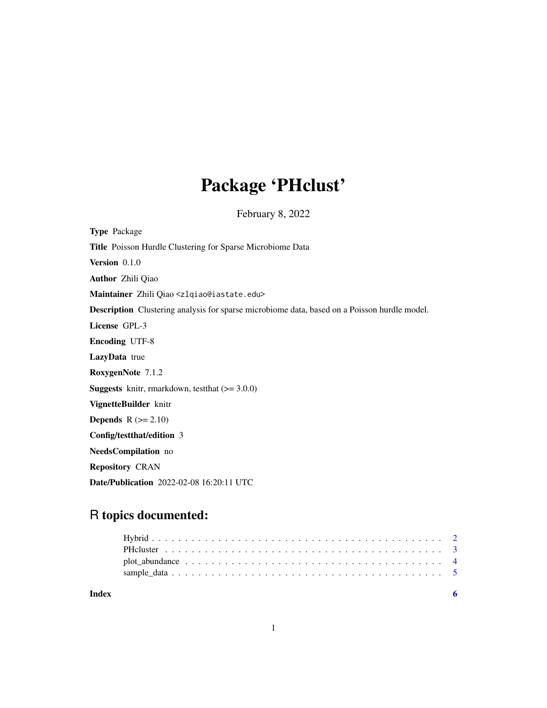# Package 'PHclust'

February 8, 2022

<span id="page-0-0"></span>

| <b>Type Package</b>                                                                          |
|----------------------------------------------------------------------------------------------|
| Title Poisson Hurdle Clustering for Sparse Microbiome Data                                   |
| Version 0.1.0                                                                                |
| <b>Author</b> Zhili Qiao                                                                     |
| Maintainer Zhili Qiao <zlqiao@iastate.edu></zlqiao@iastate.edu>                              |
| Description Clustering analysis for sparse microbiome data, based on a Poisson hurdle model. |
| License GPL-3                                                                                |
| <b>Encoding UTF-8</b>                                                                        |
| LazyData true                                                                                |
| RoxygenNote 7.1.2                                                                            |
| <b>Suggests</b> knitr, rmarkdown, test that $(>= 3.0.0)$                                     |
| VignetteBuilder knitr                                                                        |
| <b>Depends</b> $R (= 2.10)$                                                                  |
| Config/testthat/edition 3                                                                    |
| NeedsCompilation no                                                                          |
| <b>Repository CRAN</b>                                                                       |
| Date/Publication 2022-02-08 16:20:11 UTC                                                     |

# R topics documented:

| Index |  |  |  |  |  |  |  |  |  |  |  |  |  |  |  |  |  |
|-------|--|--|--|--|--|--|--|--|--|--|--|--|--|--|--|--|--|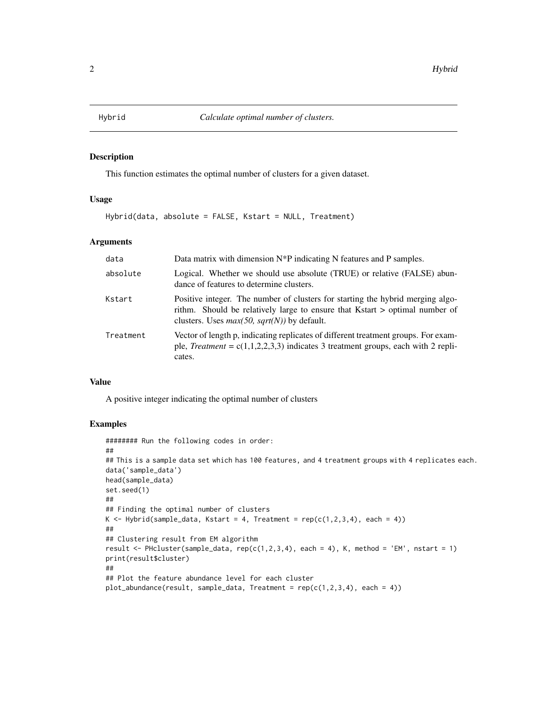<span id="page-1-0"></span>

# Description

This function estimates the optimal number of clusters for a given dataset.

# Usage

Hybrid(data, absolute = FALSE, Kstart = NULL, Treatment)

# Arguments

| data      | Data matrix with dimension $N^*P$ indicating N features and P samples.                                                                                                                                         |
|-----------|----------------------------------------------------------------------------------------------------------------------------------------------------------------------------------------------------------------|
| absolute  | Logical. Whether we should use absolute (TRUE) or relative (FALSE) abun-<br>dance of features to determine clusters.                                                                                           |
| Kstart    | Positive integer. The number of clusters for starting the hybrid merging algo-<br>rithm. Should be relatively large to ensure that Kstart > optimal number of<br>clusters. Uses $max(50, sqrt(N))$ by default. |
| Treatment | Vector of length p, indicating replicates of different treatment groups. For exam-<br>ple, <i>Treatment</i> = $c(1,1,2,2,3,3)$ indicates 3 treatment groups, each with 2 repli-<br>cates.                      |

#### Value

A positive integer indicating the optimal number of clusters

#### Examples

```
######## Run the following codes in order:
##
## This is a sample data set which has 100 features, and 4 treatment groups with 4 replicates each.
data('sample_data')
head(sample_data)
set.seed(1)
##
## Finding the optimal number of clusters
K \leq - Hybrid(sample_data, Kstart = 4, Treatment = rep(c(1,2,3,4), each = 4))
##
## Clustering result from EM algorithm
result \leq PHcluster(sample_data, rep(c(1,2,3,4), each = 4), K, method = 'EM', nstart = 1)
print(result$cluster)
##
## Plot the feature abundance level for each cluster
plot_abundance(result, sample_data, Treatment = rep(c(1,2,3,4), each = 4))
```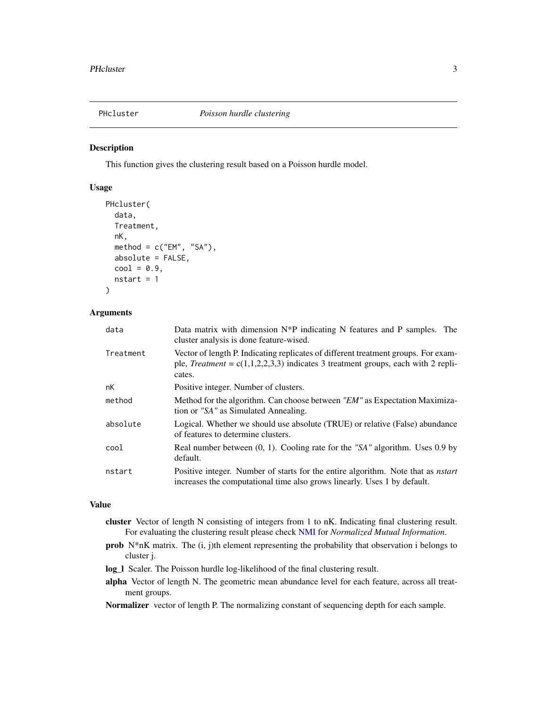<span id="page-2-0"></span>

### Description

This function gives the clustering result based on a Poisson hurdle model.

# Usage

```
PHcluster(
  data,
  Treatment,
  nK,
 method = c("EM", "SA"),
  absolute = FALSE,
  cool = 0.9,
  nstart = 1)
```
### Arguments

| data      | Data matrix with dimension $N^*P$ indicating N features and P samples. The<br>cluster analysis is done feature-wised.                                                                     |
|-----------|-------------------------------------------------------------------------------------------------------------------------------------------------------------------------------------------|
| Treatment | Vector of length P. Indicating replicates of different treatment groups. For exam-<br>ple, <i>Treatment</i> = $c(1,1,2,2,3,3)$ indicates 3 treatment groups, each with 2 repli-<br>cates. |
| nK        | Positive integer. Number of clusters.                                                                                                                                                     |
| method    | Method for the algorithm. Can choose between "EM" as Expectation Maximiza-<br>tion or "SA" as Simulated Annealing.                                                                        |
| absolute  | Logical. Whether we should use absolute (TRUE) or relative (False) abundance<br>of features to determine clusters.                                                                        |
| cool      | Real number between $(0, 1)$ . Cooling rate for the "SA" algorithm. Uses 0.9 by<br>default.                                                                                               |
| nstart    | Positive integer. Number of starts for the entire algorithm. Note that as <i>nstart</i><br>increases the computational time also grows linearly. Uses 1 by default.                       |

## Value

- cluster Vector of length N consisting of integers from 1 to nK. Indicating final clustering result. For evaluating the clustering result please check [NMI](#page-0-0) for *Normalized Mutual Information*.
- prob N\*nK matrix. The (i, j)th element representing the probability that observation i belongs to cluster j.
- log\_l Scaler. The Poisson hurdle log-likelihood of the final clustering result.
- alpha Vector of length N. The geometric mean abundance level for each feature, across all treatment groups.

Normalizer vector of length P. The normalizing constant of sequencing depth for each sample.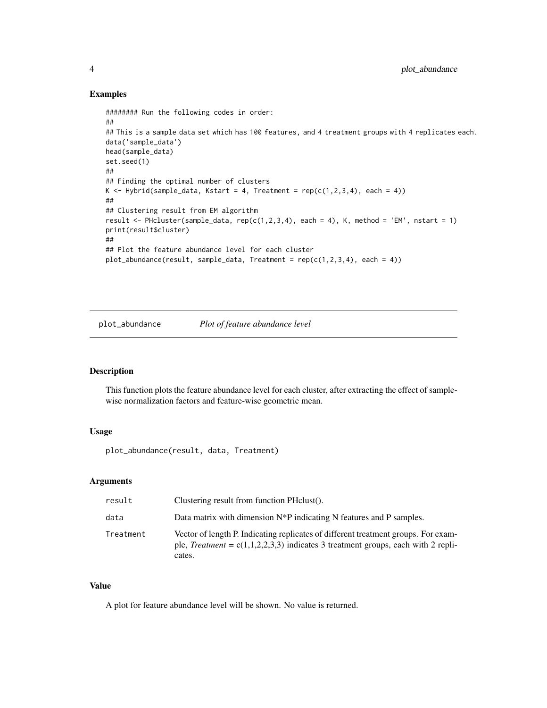#### Examples

```
######## Run the following codes in order:
##
## This is a sample data set which has 100 features, and 4 treatment groups with 4 replicates each.
data('sample_data')
head(sample_data)
set.seed(1)
##
## Finding the optimal number of clusters
K <- Hybrid(sample_data, Kstart = 4, Treatment = rep(c(1,2,3,4), each = 4))
##
## Clustering result from EM algorithm
result <- PHcluster(sample_data, rep(c(1,2,3,4), each = 4), K, method = 'EM', nstart = 1)
print(result$cluster)
##
## Plot the feature abundance level for each cluster
plot_abundance(result, sample_data, Treatment = rep(c(1,2,3,4), each = 4))
```
plot\_abundance *Plot of feature abundance level*

#### Description

This function plots the feature abundance level for each cluster, after extracting the effect of samplewise normalization factors and feature-wise geometric mean.

#### Usage

plot\_abundance(result, data, Treatment)

# Arguments

| result    | Clustering result from function PH clust().                                                                                                                                               |
|-----------|-------------------------------------------------------------------------------------------------------------------------------------------------------------------------------------------|
| data      | Data matrix with dimension $N^*P$ indicating N features and P samples.                                                                                                                    |
| Treatment | Vector of length P. Indicating replicates of different treatment groups. For exam-<br>ple, <i>Treatment</i> = $c(1,1,2,2,3,3)$ indicates 3 treatment groups, each with 2 repli-<br>cates. |

# Value

A plot for feature abundance level will be shown. No value is returned.

<span id="page-3-0"></span>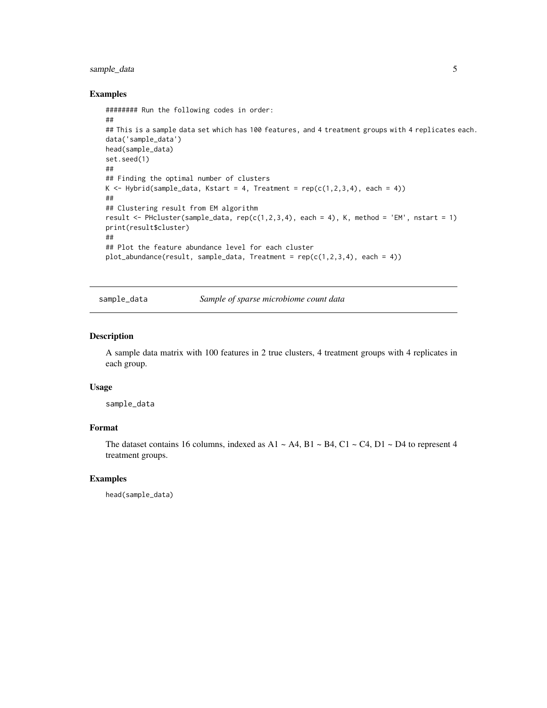# <span id="page-4-0"></span>sample\_data 5

#### Examples

```
######## Run the following codes in order:
##
## This is a sample data set which has 100 features, and 4 treatment groups with 4 replicates each.
data('sample_data')
head(sample_data)
set.seed(1)
##
## Finding the optimal number of clusters
K \leq - Hybrid(sample_data, Kstart = 4, Treatment = rep(c(1,2,3,4), each = 4))
##
## Clustering result from EM algorithm
result \leq PHcluster(sample_data, rep(c(1,2,3,4), each = 4), K, method = 'EM', nstart = 1)
print(result$cluster)
##
## Plot the feature abundance level for each cluster
plot_abundance(result, sample_data, Treatment = rep(c(1,2,3,4), each = 4))
```
sample\_data *Sample of sparse microbiome count data*

#### Description

A sample data matrix with 100 features in 2 true clusters, 4 treatment groups with 4 replicates in each group.

#### Usage

sample\_data

# Format

The dataset contains 16 columns, indexed as A1  $\sim$  A4, B1  $\sim$  B4, C1  $\sim$  C4, D1  $\sim$  D4 to represent 4 treatment groups.

#### Examples

head(sample\_data)